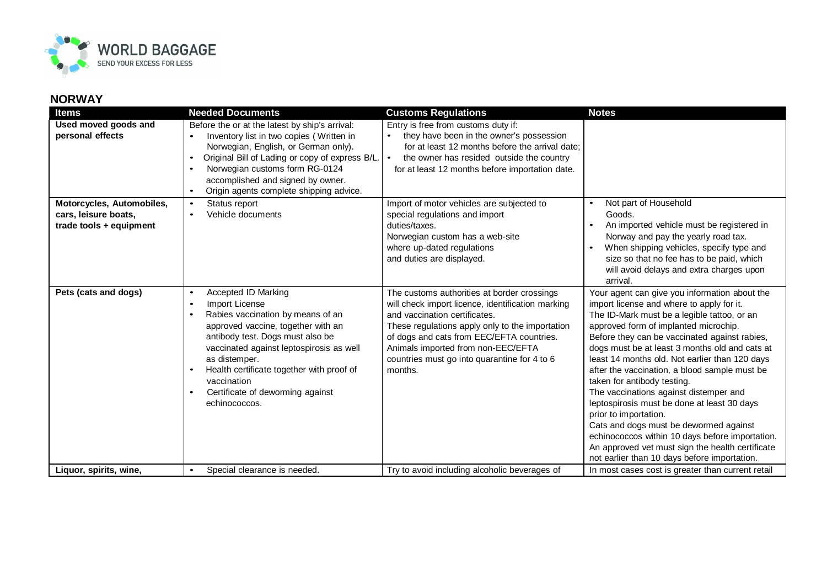

## **NORWAY**

| Items                                                                        | <b>Needed Documents</b>                                                                                                                                                                                                                                                                                                                                                                | <b>Customs Regulations</b>                                                                                                                                                                                                                                                                                                         | <b>Notes</b>                                                                                                                                                                                                                                                                                                                                                                                                                                                                                                                                                                                                                                                                                                                               |
|------------------------------------------------------------------------------|----------------------------------------------------------------------------------------------------------------------------------------------------------------------------------------------------------------------------------------------------------------------------------------------------------------------------------------------------------------------------------------|------------------------------------------------------------------------------------------------------------------------------------------------------------------------------------------------------------------------------------------------------------------------------------------------------------------------------------|--------------------------------------------------------------------------------------------------------------------------------------------------------------------------------------------------------------------------------------------------------------------------------------------------------------------------------------------------------------------------------------------------------------------------------------------------------------------------------------------------------------------------------------------------------------------------------------------------------------------------------------------------------------------------------------------------------------------------------------------|
| Used moved goods and<br>personal effects                                     | Before the or at the latest by ship's arrival:<br>Inventory list in two copies (Written in<br>$\bullet$<br>Norwegian, English, or German only).<br>Original Bill of Lading or copy of express B/L.<br>$\bullet$<br>Norwegian customs form RG-0124<br>$\bullet$<br>accomplished and signed by owner.<br>Origin agents complete shipping advice.<br>$\bullet$                            | Entry is free from customs duty if:<br>they have been in the owner's possession<br>$\bullet$<br>for at least 12 months before the arrival date:<br>the owner has resided outside the country<br>for at least 12 months before importation date.                                                                                    |                                                                                                                                                                                                                                                                                                                                                                                                                                                                                                                                                                                                                                                                                                                                            |
| Motorcycles, Automobiles,<br>cars, leisure boats,<br>trade tools + equipment | Status report<br>$\bullet$<br>Vehicle documents<br>$\bullet$                                                                                                                                                                                                                                                                                                                           | Import of motor vehicles are subjected to<br>special regulations and import<br>duties/taxes.<br>Norwegian custom has a web-site<br>where up-dated regulations<br>and duties are displayed.                                                                                                                                         | Not part of Household<br>Goods.<br>An imported vehicle must be registered in<br>Norway and pay the yearly road tax.<br>When shipping vehicles, specify type and<br>size so that no fee has to be paid, which<br>will avoid delays and extra charges upon<br>arrival.                                                                                                                                                                                                                                                                                                                                                                                                                                                                       |
| Pets (cats and dogs)                                                         | Accepted ID Marking<br>$\bullet$<br>Import License<br>$\bullet$<br>Rabies vaccination by means of an<br>$\bullet$<br>approved vaccine, together with an<br>antibody test. Dogs must also be<br>vaccinated against leptospirosis as well<br>as distemper.<br>Health certificate together with proof of<br>$\bullet$<br>vaccination<br>Certificate of deworming against<br>echinococcos. | The customs authorities at border crossings<br>will check import licence, identification marking<br>and vaccination certificates.<br>These regulations apply only to the importation<br>of dogs and cats from EEC/EFTA countries.<br>Animals imported from non-EEC/EFTA<br>countries must go into quarantine for 4 to 6<br>months. | Your agent can give you information about the<br>import license and where to apply for it.<br>The ID-Mark must be a legible tattoo, or an<br>approved form of implanted microchip.<br>Before they can be vaccinated against rabies,<br>dogs must be at least 3 months old and cats at<br>least 14 months old. Not earlier than 120 days<br>after the vaccination, a blood sample must be<br>taken for antibody testing.<br>The vaccinations against distemper and<br>leptospirosis must be done at least 30 days<br>prior to importation.<br>Cats and dogs must be dewormed against<br>echinococcos within 10 days before importation.<br>An approved vet must sign the health certificate<br>not earlier than 10 days before importation. |
| Liquor, spirits, wine,                                                       | Special clearance is needed.<br>$\bullet$                                                                                                                                                                                                                                                                                                                                              | Try to avoid including alcoholic beverages of                                                                                                                                                                                                                                                                                      | In most cases cost is greater than current retail                                                                                                                                                                                                                                                                                                                                                                                                                                                                                                                                                                                                                                                                                          |